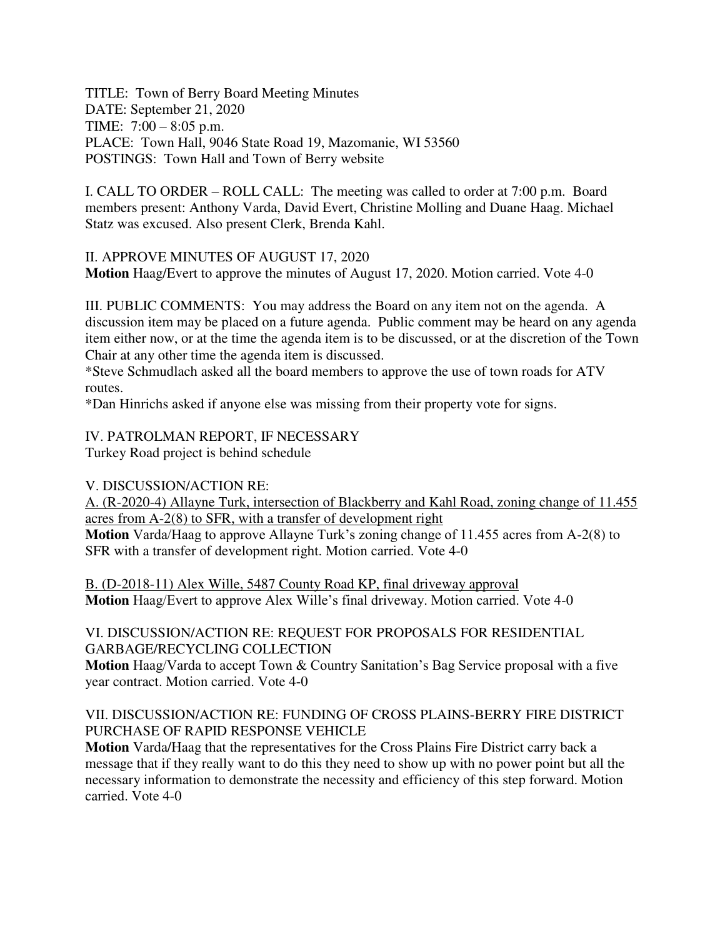TITLE: Town of Berry Board Meeting Minutes DATE: September 21, 2020 TIME: 7:00 – 8:05 p.m. PLACE: Town Hall, 9046 State Road 19, Mazomanie, WI 53560 POSTINGS: Town Hall and Town of Berry website

I. CALL TO ORDER – ROLL CALL: The meeting was called to order at 7:00 p.m. Board members present: Anthony Varda, David Evert, Christine Molling and Duane Haag. Michael Statz was excused. Also present Clerk, Brenda Kahl.

II. APPROVE MINUTES OF AUGUST 17, 2020 **Motion** Haag/Evert to approve the minutes of August 17, 2020. Motion carried. Vote 4-0

III. PUBLIC COMMENTS: You may address the Board on any item not on the agenda. A discussion item may be placed on a future agenda. Public comment may be heard on any agenda item either now, or at the time the agenda item is to be discussed, or at the discretion of the Town Chair at any other time the agenda item is discussed.

\*Steve Schmudlach asked all the board members to approve the use of town roads for ATV routes.

\*Dan Hinrichs asked if anyone else was missing from their property vote for signs.

IV. PATROLMAN REPORT, IF NECESSARY Turkey Road project is behind schedule

V. DISCUSSION/ACTION RE:

A. (R-2020-4) Allayne Turk, intersection of Blackberry and Kahl Road, zoning change of 11.455 acres from A-2(8) to SFR, with a transfer of development right

**Motion** Varda/Haag to approve Allayne Turk's zoning change of 11.455 acres from A-2(8) to SFR with a transfer of development right. Motion carried. Vote 4-0

B. (D-2018-11) Alex Wille, 5487 County Road KP, final driveway approval **Motion** Haag/Evert to approve Alex Wille's final driveway. Motion carried. Vote 4-0

### VI. DISCUSSION/ACTION RE: REQUEST FOR PROPOSALS FOR RESIDENTIAL GARBAGE/RECYCLING COLLECTION

**Motion** Haag/Varda to accept Town & Country Sanitation's Bag Service proposal with a five year contract. Motion carried. Vote 4-0

### VII. DISCUSSION/ACTION RE: FUNDING OF CROSS PLAINS-BERRY FIRE DISTRICT PURCHASE OF RAPID RESPONSE VEHICLE

**Motion** Varda/Haag that the representatives for the Cross Plains Fire District carry back a message that if they really want to do this they need to show up with no power point but all the necessary information to demonstrate the necessity and efficiency of this step forward. Motion carried. Vote 4-0